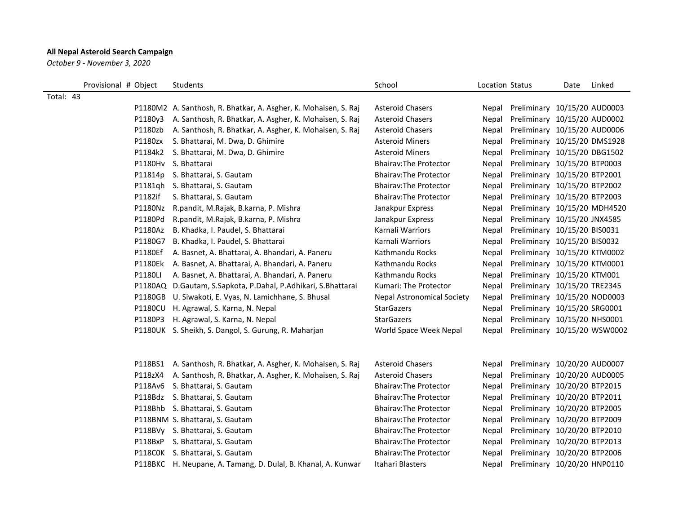## **All Nepal Asteroid Search Campaign**

*October 9 - November 3, 2020*

| Provisional # Object | Students                                                        | School                            | Location Status |                              | Date | Linked |
|----------------------|-----------------------------------------------------------------|-----------------------------------|-----------------|------------------------------|------|--------|
| Total: 43            |                                                                 |                                   |                 |                              |      |        |
|                      | P1180M2 A. Santhosh, R. Bhatkar, A. Asgher, K. Mohaisen, S. Raj | <b>Asteroid Chasers</b>           | Nepal           | Preliminary 10/15/20 AUD0003 |      |        |
| P1180y3              | A. Santhosh, R. Bhatkar, A. Asgher, K. Mohaisen, S. Raj         | <b>Asteroid Chasers</b>           | Nepal           | Preliminary 10/15/20 AUD0002 |      |        |
| P1180zb              | A. Santhosh, R. Bhatkar, A. Asgher, K. Mohaisen, S. Raj         | <b>Asteroid Chasers</b>           | Nepal           | Preliminary 10/15/20 AUD0006 |      |        |
| P1180zx              | S. Bhattarai, M. Dwa, D. Ghimire                                | <b>Asteroid Miners</b>            | Nepal           | Preliminary 10/15/20 DMS1928 |      |        |
| P1184k2              | S. Bhattarai, M. Dwa, D. Ghimire                                | <b>Asteroid Miners</b>            | Nepal           | Preliminary 10/15/20 DBG1502 |      |        |
|                      | P1180Hv S. Bhattarai                                            | <b>Bhairav: The Protector</b>     | Nepal           | Preliminary 10/15/20 BTP0003 |      |        |
|                      | P11814p S. Bhattarai, S. Gautam                                 | <b>Bhairav: The Protector</b>     | Nepal           | Preliminary 10/15/20 BTP2001 |      |        |
| P1181qh              | S. Bhattarai, S. Gautam                                         | <b>Bhairav: The Protector</b>     | Nepal           | Preliminary 10/15/20 BTP2002 |      |        |
| P1182if              | S. Bhattarai, S. Gautam                                         | <b>Bhairav: The Protector</b>     | Nepal           | Preliminary 10/15/20 BTP2003 |      |        |
| P1180Nz              | R.pandit, M.Rajak, B.karna, P. Mishra                           | Janakpur Express                  | Nepal           | Preliminary 10/15/20 MDH4520 |      |        |
| P1180Pd              | R.pandit, M.Rajak, B.karna, P. Mishra                           | Janakpur Express                  | Nepal           | Preliminary 10/15/20 JNX4585 |      |        |
| P1180Az              | B. Khadka, I. Paudel, S. Bhattarai                              | Karnali Warriors                  | Nepal           | Preliminary 10/15/20 BIS0031 |      |        |
| P1180G7              | B. Khadka, I. Paudel, S. Bhattarai                              | Karnali Warriors                  | Nepal           | Preliminary 10/15/20 BIS0032 |      |        |
| P1180Ef              | A. Basnet, A. Bhattarai, A. Bhandari, A. Paneru                 | Kathmandu Rocks                   | Nepal           | Preliminary 10/15/20 KTM0002 |      |        |
| P1180Ek              | A. Basnet, A. Bhattarai, A. Bhandari, A. Paneru                 | Kathmandu Rocks                   | Nepal           | Preliminary 10/15/20 KTM0001 |      |        |
| P1180LI              | A. Basnet, A. Bhattarai, A. Bhandari, A. Paneru                 | Kathmandu Rocks                   | Nepal           | Preliminary 10/15/20 KTM001  |      |        |
|                      | P1180AQ D.Gautam, S.Sapkota, P.Dahal, P.Adhikari, S.Bhattarai   | Kumari: The Protector             | Nepal           | Preliminary 10/15/20 TRE2345 |      |        |
|                      | P1180GB U. Siwakoti, E. Vyas, N. Lamichhane, S. Bhusal          | <b>Nepal Astronomical Society</b> | Nepal           | Preliminary 10/15/20 NOD0003 |      |        |
|                      | P1180CU H. Agrawal, S. Karna, N. Nepal                          | <b>StarGazers</b>                 | Nepal           | Preliminary 10/15/20 SRG0001 |      |        |
| P1180P3              | H. Agrawal, S. Karna, N. Nepal                                  | <b>StarGazers</b>                 | Nepal           | Preliminary 10/15/20 NHS0001 |      |        |
|                      | P1180UK S. Sheikh, S. Dangol, S. Gurung, R. Maharjan            | World Space Week Nepal            | Nepal           | Preliminary 10/15/20 WSW0002 |      |        |
|                      |                                                                 |                                   |                 |                              |      |        |
|                      | P118BS1 A. Santhosh, R. Bhatkar, A. Asgher, K. Mohaisen, S. Raj | <b>Asteroid Chasers</b>           | Nepal           | Preliminary 10/20/20 AUD0007 |      |        |
| P118zX4              | A. Santhosh, R. Bhatkar, A. Asgher, K. Mohaisen, S. Raj         | <b>Asteroid Chasers</b>           | Nepal           | Preliminary 10/20/20 AUD0005 |      |        |
| P118Av6              | S. Bhattarai, S. Gautam                                         | <b>Bhairav: The Protector</b>     | Nepal           | Preliminary 10/20/20 BTP2015 |      |        |
|                      | P118Bdz S. Bhattarai, S. Gautam                                 | <b>Bhairav: The Protector</b>     | Nepal           | Preliminary 10/20/20 BTP2011 |      |        |
|                      | P118Bhb S. Bhattarai, S. Gautam                                 | <b>Bhairav: The Protector</b>     | Nepal           | Preliminary 10/20/20 BTP2005 |      |        |
|                      | P118BNM S. Bhattarai, S. Gautam                                 | <b>Bhairav: The Protector</b>     | Nepal           | Preliminary 10/20/20 BTP2009 |      |        |
|                      | P118BVy S. Bhattarai, S. Gautam                                 | <b>Bhairav: The Protector</b>     | Nepal           | Preliminary 10/20/20 BTP2010 |      |        |
| P118BxP              | S. Bhattarai, S. Gautam                                         | <b>Bhairav: The Protector</b>     | Nepal           | Preliminary 10/20/20 BTP2013 |      |        |
|                      | P118COK S. Bhattarai, S. Gautam                                 | <b>Bhairav: The Protector</b>     | Nepal           | Preliminary 10/20/20 BTP2006 |      |        |
|                      | P118BKC H. Neupane, A. Tamang, D. Dulal, B. Khanal, A. Kunwar   | Itahari Blasters                  | Nepal           | Preliminary 10/20/20 HNP0110 |      |        |